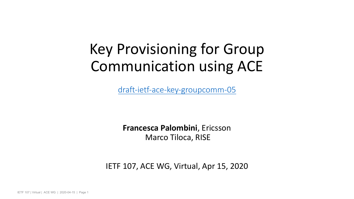# Key Provisioning for ( Communication usin

draft-ietf-ace-key-groupcomm-

**Francesca Palombini, Ericsson** Marco Tiloca, RISE

IETF 107, ACE WG, Virtual, Apr 15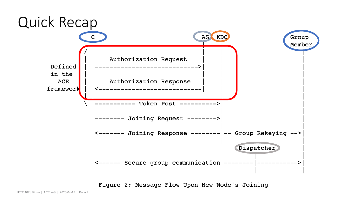

Figure 2: Message Flow Upon New Node's Joining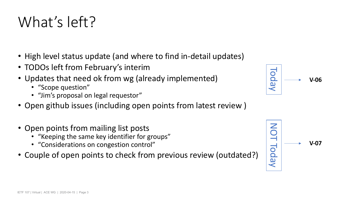# What's left?

- High level status update (and where to find in-detail updates)
- TODOs left from February's interim
- Updates that need ok from wg (already implemented)
	- "Scope question"
	- "Jim's proposal on legal requestor"
- Open github issues (including open points from latest review )
- Open points from mailing list posts
	- "Keeping the same key identifier for groups"
	- "Considerations on congestion control"
- Couple of open points to check from previous review (outdated?)





NOT Today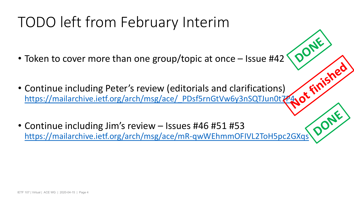# TODO left from February Interim

- Token to cover more than one group/topic at on
- Continue including Peter's review (editorials and https://mailarchive.ietf.org/arch/msg/ace/\_PDsf5rnGtV
- Continue including Jim's review Issues #46 #51 https://mailarchive.ietf.org/arch/msg/ace/mR-qwWEhm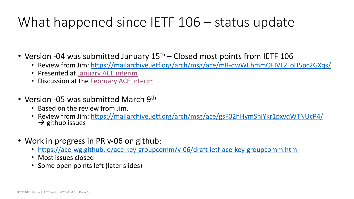## What happened since IETF  $106 - st$

#### • Version -04 was submitted January  $15<sup>th</sup>$  – Closed most points

- Review from Jim: https://mailarchive.ietf.org/arch/msg/ace/m
- Presented at January ACE interim
- Discussion at the February ACE interim

#### • Version -05 was submitted March 9<sup>th</sup>

- Based on the review from Jim.
- Review from Jim: https://mailarchive.ietf.org/arch/msg/ace/gs<br>  $\rightarrow$  github issues
- Work in progress in PR v-06 on github:
	- https://ace-wg.github.io/ace-key-groupcomm/v-06/draft-ietf-a
	- Most issues closed
	- Some open points left (later slides)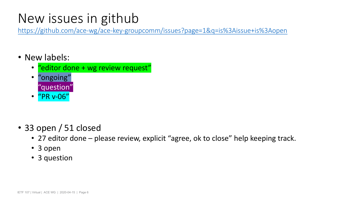#### New issues in github

https://github.com/ace-wg/ace-key-groupcomm/issues?page=1&q=is?

- New labels:
	- "editor done + wg review request"
	- "ongoing" • "question"
	- "PR v-06"
- 33 open / 51 closed
	- 27 editor done please review, explicit "agree, ok to close
	- 3 open
	- 3 question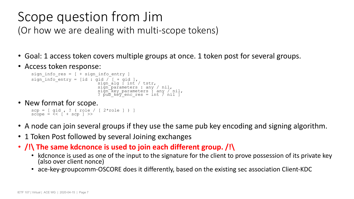## Scope question from Jim

(Or how we are dealing with multi-scope tokens)

- Goal: 1 access token covers multiple groups at once. 1 token post for several groups.
- Access token response:

```
sign info res = [ + sign infoentry ]sign_info_entry = [id : gid / [ + gid ],<br>sign alg : int / tstr,
                                  signparameters : any / nil,
                                  sign_key_parameters : any / nil,<br>? pub_key_enc_res = int / nil ]
```
• New format for scope.

```
scp = [ gid , ? ( role / [ 2*role ] ) ] 
scope = \leq  [ + scp ] >>
```
- A node can join several groups if they use the same pub key encoding and signing algorithm.
- 1 Token Post followed by several Joining exchanges
- **/!\ The same kdcnonce is used to join each different group. /!\**
	- kdcnonce is used as one of the input to the signature for the client to prove possession of its private key (also over client nonce)
	- ace-key-groupcomm-OSCORE does it differently, based on the existing sec association Client-KDC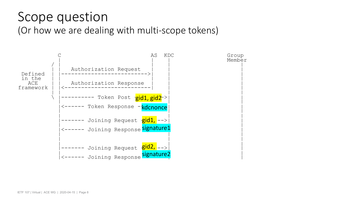#### Scope question (Or how we are dealing with multi-scope tokens)

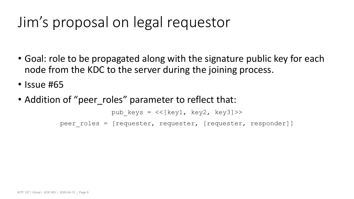## Jim's proposal on legal requestor

- Goal: role to be propagated along with the signature public key for each node from the KDC to the server during the joining process.
- Issue #65
- Addition of "peer roles" parameter to reflect that:

```
pub keys = \langle \langle[key1, key2, key3]>>
peer roles = [requester, requester, [requester, responder]]
```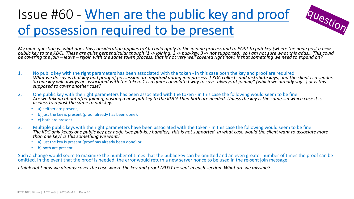## Issue #60 - When are the public key of possession required to be preser

My main question is: what does this consideration applies to? It could apply to the joining process a<br>public key to the KDC). These are quite perpendicular though (1 -> joining, 2 -> pub-key, 3 -> not sup<sub>l</sub> *be covering the join – leave – rejoin with the same token process, that is not very well covered right now, is that something we need to expand on?*

- 1. No public key with the right parameters has been associated with the token in this case bot<br>What we do say is that key and proof of possession are **required** during join process if KDC co *So one key will always be associated with the token. 1 is a quite convoluted way to say: "always at joining" (which we already say…) or is this supposed to cover another case?*
- 2. One public key with the right parameters has been associated with the token in this case the *Are we talking about after joining, posting a new pub key to the KDC? Then both are needed. Unless the key is the same…in which case it is useless to repost the same to pub-key.*
	- a) neither are present,
	- b) just the key is present (proof already has been done),
	- c) both are present
- 3. Multiple public keys with the right parameters have been associated with the token In this The KDC only keeps one public key per node (see pub-key handler), this is not supported. In w *than one key? Is this something we want?*
	- a) just the key is present (proof has already been done) or
	- b) both are present

Such a change would seem to maximize the number of times that the public key can be omitted and omitted. In the event that the proof is needed, the error would return a new server nonce to be use

*I think right now we already cover the case where the key and proof MUST be sent in each section.* V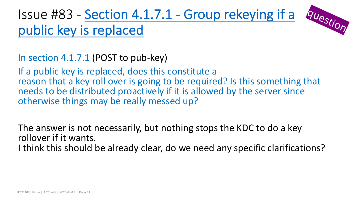#### $Issue$  #83 - Section 4.1.7.1 - Group if public key is replaced

In section 4.1.7.1 (POST to pub-key)

If a public key is replaced, does this constitute a reason that a key roll over is going to be required? needs to be distributed proactively if it is allowed otherwise things may be really messed up?

The answer is not necessarily, but nothing stops the The answer is not necessarily, but nothing stops the The rollover if it wants.

I think this should be already clear, do we need ar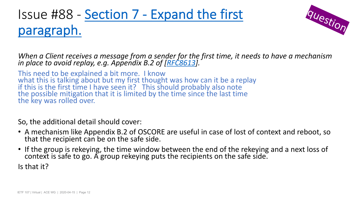## Issue #88 - Section 7 - Expand the f paragraph.

*When a Client receives a message from a sender for the first tim in place to avoid replay, e.g. Appendix B.2 of [RFC8613].*

This need to be explained a bit more. I know what this is talking about but my first thought was how can it be if this is the first time I have seen it? This should probably also the possible mitigation that it is limited by the time since the last the key was rolled over.

So, the additional detail should cover:

- A mechanism like Appendix B.2 of OSCORE are useful in case that the recipient can be on the safe side.
- If the group is rekeying, the time window between the end of context is safe to go. A group rekeying puts the recipients on Is that it?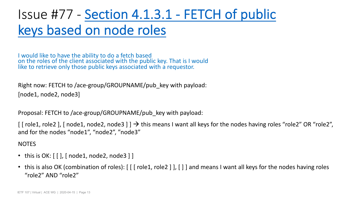## Issue #77 - Section 4.1.3.1 - FETCH keys based on node roles

I would like to have the ability to do a fetch based on the roles of the client associated with the public key. That is I would like to retrieve only those public keys associated with a requestor.

Right now: FETCH to /ace-group/GROUPNAME/pub\_key with payload: [node1, node2, node3]

Proposal: FETCH to /ace-group/GROUPNAME/pub\_key with payload:

[ [ role1, role2 ], [ node1, node2, node3 ] ]  $\rightarrow$  this means I want all keys for th and for the nodes "node1", "node2", "node3"

**NOTES** 

- this is  $OK: [[], [node1, node2, node3]]$
- this is also OK (combination of roles):  $\lceil \lceil \int$  role1, role2  $\rceil$   $\rceil$ ,  $\lceil \cdot \rceil$  and means I v "role2" AND "role2"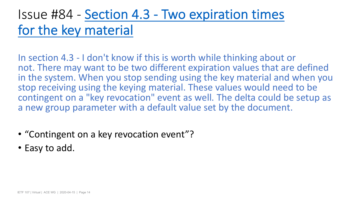#### Issue #84 - Section 4.3 - Two expiration for the key material

In section 4.3 - I don't know if this is worth while thinking not. There may want to be two different expiration in the system. When you stop sending using the ke stop receiving using the keying material. These values contingent on a "key revocation" event as well. The a new group parameter with a default value set by

- "Contingent on a key revocation event"?
- Easy to add.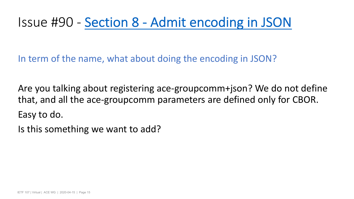#### Issue #90 - Section 8 - Admit encod

In term of the name, what about doing the encod

Are you talking about registering ace-groupcomm that, and all the ace-groupcomm parameters are only for Easy to do.

Is this something we want to add?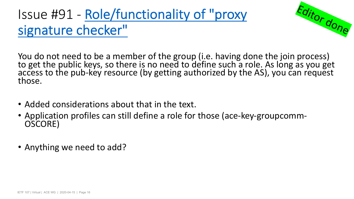# Issue #91 - Role/functionality of "pr<br>signature checker"

You do not need to be a member of the group (i.e. has<br>to get the public keys, so there is no need to define su<br>access to the pub-key resource (by getting authorized<br>those.

- Added considerations about that in the text.
- Application profiles can still define a role for those (ace-CSCORE)
- Anything we need to add?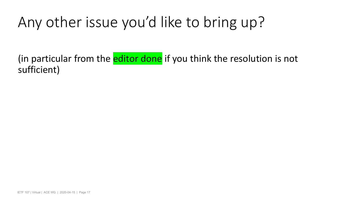# Any other issue you'd like to bring up?

(in particular from the editor done if you think the resolution is not sufficient)